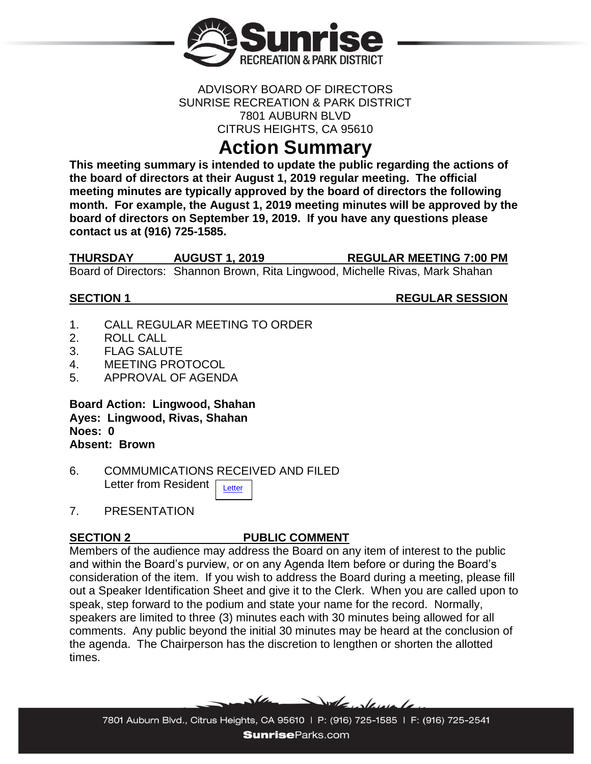

### ADVISORY BOARD OF DIRECTORS SUNRISE RECREATION & PARK DISTRICT 7801 AUBURN BLVD CITRUS HEIGHTS, CA 95610

# **Action Summary**

**This meeting summary is intended to update the public regarding the actions of the board of directors at their August 1, 2019 regular meeting. The official meeting minutes are typically approved by the board of directors the following month. For example, the August 1, 2019 meeting minutes will be approved by the board of directors on September 19, 2019. If you have any questions please contact us at (916) 725-1585.**

**THURSDAY AUGUST 1, 2019 REGULAR MEETING 7:00 PM** Board of Directors: Shannon Brown, Rita Lingwood, Michelle Rivas, Mark Shahan

**SECTION 1** REGULAR SESSION

- 1. CALL REGULAR MEETING TO ORDER
- 2. ROLL CALL
- 3. FLAG SALUTE
- 4 MEETING PROTOCOL
- 5. APPROVAL OF AGENDA

**Board Action: Lingwood, Shahan Ayes: Lingwood, Rivas, Shahan Noes: 0 Absent: Brown**

- 6. COMMUMICATIONS RECEIVED AND FILED Letter from Resident **[Letter](http://www.sunriseparks.com/files/a66bedbd1/Tetotom+Letter.pdf)**
- 7. PRESENTATION

# **SECTION 2 PUBLIC COMMENT**

Members of the audience may address the Board on any item of interest to the public and within the Board's purview, or on any Agenda Item before or during the Board's consideration of the item. If you wish to address the Board during a meeting, please fill out a Speaker Identification Sheet and give it to the Clerk. When you are called upon to speak, step forward to the podium and state your name for the record. Normally, speakers are limited to three (3) minutes each with 30 minutes being allowed for all comments. Any public beyond the initial 30 minutes may be heard at the conclusion of the agenda. The Chairperson has the discretion to lengthen or shorten the allotted times.

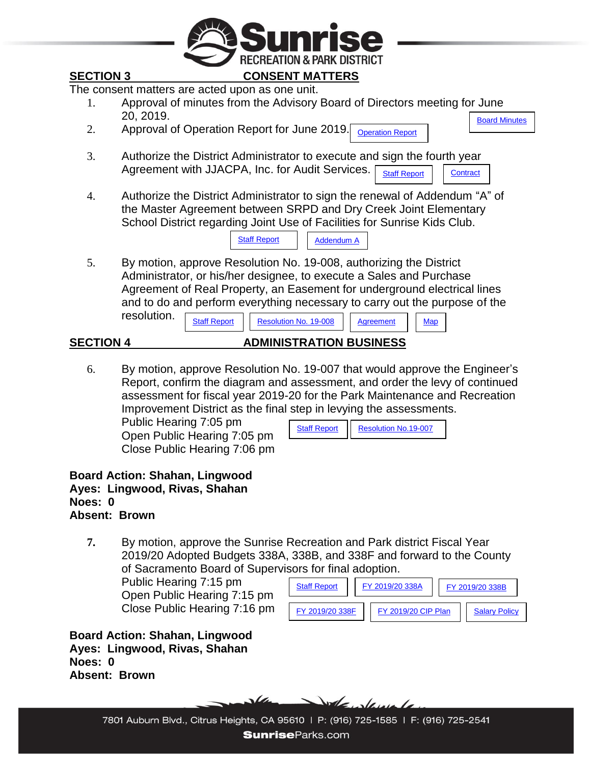

assessment for fiscal year 2019-20 for the Park Maintenance and Recreation Improvement District as the final step in levying the assessments.

Public Hearing 7:05 pm Open Public Hearing 7:05 pm Close Public Hearing 7:06 pm

| <b>Staff Report</b> | <b>Resolution No.19-007</b> |
|---------------------|-----------------------------|

**Board Action: Shahan, Lingwood Ayes: Lingwood, Rivas, Shahan Noes: 0 Absent: Brown**

**7.** By motion, approve the Sunrise Recreation and Park district Fiscal Year 2019/20 Adopted Budgets 338A, 338B, and 338F and forward to the County of Sacramento Board of Supervisors for final adoption.

Public Hearing 7:15 pm Open Public Hearing 7:15 pm Close Public Hearing 7:16 pm

| <b>Staff Report</b> | FY 2019/20 338A |                     |  | FY 2019/20 338B      |  |
|---------------------|-----------------|---------------------|--|----------------------|--|
| FY 2019/20 338F     |                 | FY 2019/20 CIP Plan |  | <b>Salary Policy</b> |  |

**Board Action: Shahan, Lingwood Ayes: Lingwood, Rivas, Shahan Noes: 0 Absent: Brown**



7801 Auburn Blvd., Citrus Heights, CA 95610 | P: (916) 725-1585 | F: (916) 725-2541 **SunriseParks.com**